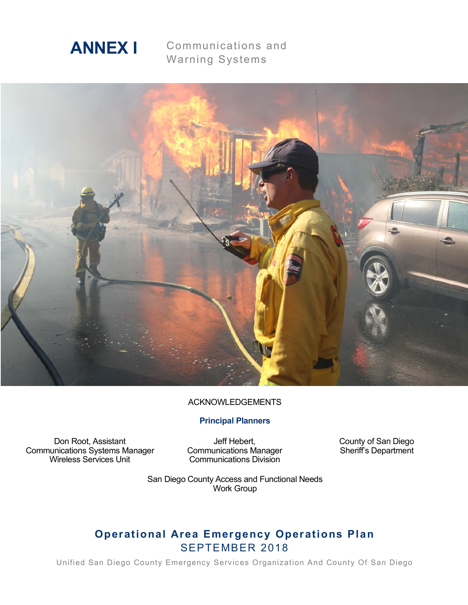

Communications and Warning Systems



#### ACKNOWLEDGEMENTS

## **Principal Planners**

Don Root, Assistant Communications Systems Manager Wireless Services Unit

Jeff Hebert, Communications Manager Communications Division

County of San Diego Sheriff's Department

San Diego County Access and Functional Needs Work Group

# **Operational Area Emergency Operations Plan** SEPTEMBER 2018

Unified San Diego County Emergency Services Organization And County Of San Diego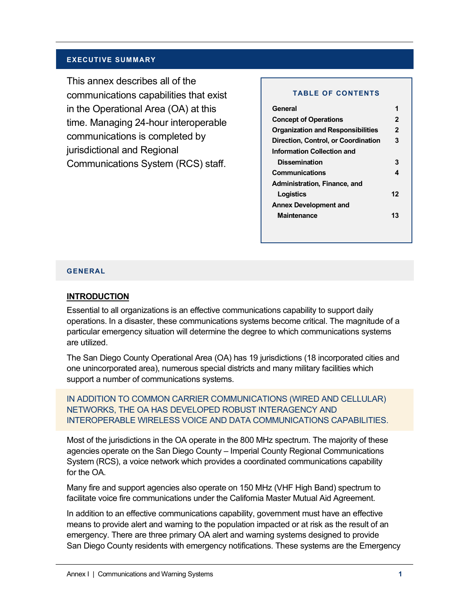#### **EXECUTIVE SUMMARY**

This annex describes all of the communications capabilities that exist in the Operational Area (OA) at this time. Managing 24-hour interoperable communications is completed by jurisdictional and Regional Communications System (RCS) staff.

#### **TABLE OF CONTENTS**

| General                                  | 1            |
|------------------------------------------|--------------|
| <b>Concept of Operations</b>             | $\mathbf{2}$ |
| <b>Organization and Responsibilities</b> | $\mathbf{2}$ |
| Direction, Control, or Coordination      | 3            |
| Information Collection and               |              |
| <b>Dissemination</b>                     | 3            |
| Communications                           | 4            |
| Administration, Finance, and             |              |
| Logistics                                | 12           |
| <b>Annex Development and</b>             |              |
| <b>Maintenance</b>                       | 13           |
|                                          |              |

#### **GENERAL**

#### **INTRODUCTION**

Essential to all organizations is an effective communications capability to support daily operations. In a disaster, these communications systems become critical. The magnitude of a particular emergency situation will determine the degree to which communications systems are utilized.

The San Diego County Operational Area (OA) has 19 jurisdictions (18 incorporated cities and one unincorporated area), numerous special districts and many military facilities which support a number of communications systems.

IN ADDITION TO COMMON CARRIER COMMUNICATIONS (WIRED AND CELLULAR) NETWORKS, THE OA HAS DEVELOPED ROBUST INTERAGENCY AND INTEROPERABLE WIRELESS VOICE AND DATA COMMUNICATIONS CAPABILITIES.

Most of the jurisdictions in the OA operate in the 800 MHz spectrum. The majority of these agencies operate on the San Diego County – Imperial County Regional Communications System (RCS), a voice network which provides a coordinated communications capability for the OA.

Many fire and support agencies also operate on 150 MHz (VHF High Band) spectrum to facilitate voice fire communications under the California Master Mutual Aid Agreement.

In addition to an effective communications capability, government must have an effective means to provide alert and warning to the population impacted or at risk as the result of an emergency. There are three primary OA alert and warning systems designed to provide San Diego County residents with emergency notifications. These systems are the Emergency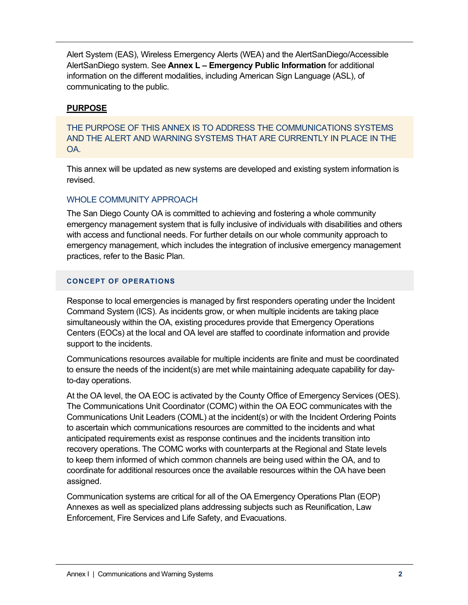Alert System (EAS), Wireless Emergency Alerts (WEA) and the AlertSanDiego/Accessible AlertSanDiego system. See **Annex L – Emergency Public Information** for additional information on the different modalities, including American Sign Language (ASL), of communicating to the public.

# **PURPOSE**

# THE PURPOSE OF THIS ANNEX IS TO ADDRESS THE COMMUNICATIONS SYSTEMS AND THE ALERT AND WARNING SYSTEMS THAT ARE CURRENTLY IN PLACE IN THE OA.

This annex will be updated as new systems are developed and existing system information is revised.

# WHOLE COMMUNITY APPROACH

The San Diego County OA is committed to achieving and fostering a whole community emergency management system that is fully inclusive of individuals with disabilities and others with access and functional needs. For further details on our whole community approach to emergency management, which includes the integration of inclusive emergency management practices, refer to the Basic Plan.

## **CONCEPT OF OPERATIONS**

Response to local emergencies is managed by first responders operating under the Incident Command System (ICS). As incidents grow, or when multiple incidents are taking place simultaneously within the OA, existing procedures provide that Emergency Operations Centers (EOCs) at the local and OA level are staffed to coordinate information and provide support to the incidents.

Communications resources available for multiple incidents are finite and must be coordinated to ensure the needs of the incident(s) are met while maintaining adequate capability for dayto-day operations.

At the OA level, the OA EOC is activated by the County Office of Emergency Services (OES). The Communications Unit Coordinator (COMC) within the OA EOC communicates with the Communications Unit Leaders (COML) at the incident(s) or with the Incident Ordering Points to ascertain which communications resources are committed to the incidents and what anticipated requirements exist as response continues and the incidents transition into recovery operations. The COMC works with counterparts at the Regional and State levels to keep them informed of which common channels are being used within the OA, and to coordinate for additional resources once the available resources within the OA have been assigned.

Communication systems are critical for all of the OA Emergency Operations Plan (EOP) Annexes as well as specialized plans addressing subjects such as Reunification, Law Enforcement, Fire Services and Life Safety, and Evacuations.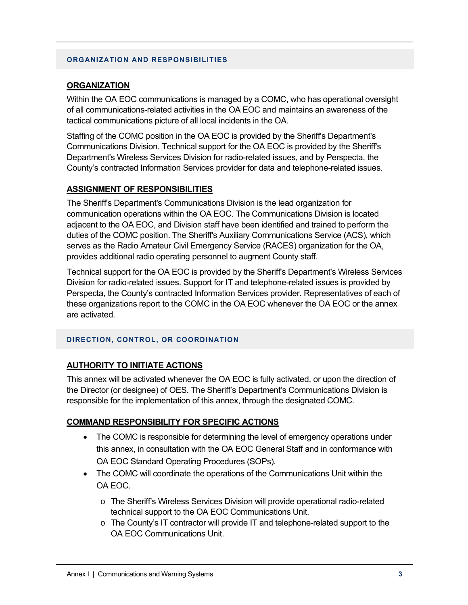#### **ORGANIZATION AND RESPONSIBILITIES**

## **ORGANIZATION**

Within the OA EOC communications is managed by a COMC, who has operational oversight of all communications-related activities in the OA EOC and maintains an awareness of the tactical communications picture of all local incidents in the OA.

Staffing of the COMC position in the OA EOC is provided by the Sheriff's Department's Communications Division. Technical support for the OA EOC is provided by the Sheriff's Department's Wireless Services Division for radio-related issues, and by Perspecta, the County's contracted Information Services provider for data and telephone-related issues.

#### **ASSIGNMENT OF RESPONSIBILITIES**

The Sheriff's Department's Communications Division is the lead organization for communication operations within the OA EOC. The Communications Division is located adjacent to the OA EOC, and Division staff have been identified and trained to perform the duties of the COMC position. The Sheriff's Auxiliary Communications Service (ACS), which serves as the Radio Amateur Civil Emergency Service (RACES) organization for the OA, provides additional radio operating personnel to augment County staff.

Technical support for the OA EOC is provided by the Sheriff's Department's Wireless Services Division for radio-related issues. Support for IT and telephone-related issues is provided by Perspecta, the County's contracted Information Services provider. Representatives of each of these organizations report to the COMC in the OA EOC whenever the OA EOC or the annex are activated.

#### **DIRECTION, CONTROL, OR COORDINATION**

## **AUTHORITY TO INITIATE ACTIONS**

This annex will be activated whenever the OA EOC is fully activated, or upon the direction of the Director (or designee) of OES. The Sheriff's Department's Communications Division is responsible for the implementation of this annex, through the designated COMC.

## **COMMAND RESPONSIBILITY FOR SPECIFIC ACTIONS**

- The COMC is responsible for determining the level of emergency operations under this annex, in consultation with the OA EOC General Staff and in conformance with OA EOC Standard Operating Procedures (SOPs).
- The COMC will coordinate the operations of the Communications Unit within the OA EOC.
	- o The Sheriff's Wireless Services Division will provide operational radio-related technical support to the OA EOC Communications Unit.
	- $\circ$  The County's IT contractor will provide IT and telephone-related support to the OA EOC Communications Unit.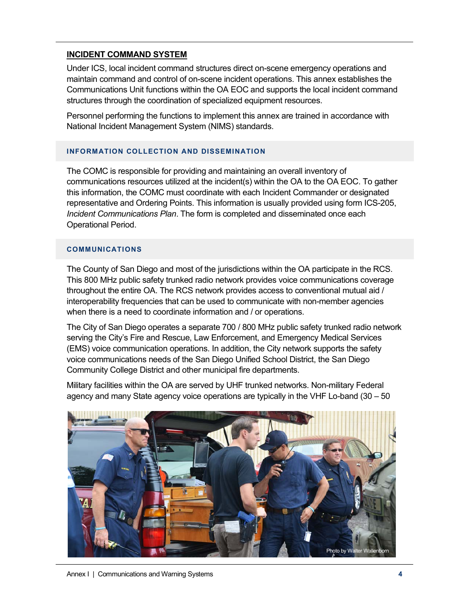# **INCIDENT COMMAND SYSTEM**

Under ICS, local incident command structures direct on-scene emergency operations and maintain command and control of on-scene incident operations. This annex establishes the Communications Unit functions within the OA EOC and supports the local incident command structures through the coordination of specialized equipment resources.

Personnel performing the functions to implement this annex are trained in accordance with National Incident Management System (NIMS) standards.

#### **INFORMATION COLLECTION AND DISSEMINATION**

The COMC is responsible for providing and maintaining an overall inventory of communications resources utilized at the incident(s) within the OA to the OA EOC. To gather this information, the COMC must coordinate with each Incident Commander or designated representative and Ordering Points. This information is usually provided using form ICS-205, *Incident Communications Plan*. The form is completed and disseminated once each Operational Period.

#### **COMMUNICATIONS**

The County of San Diego and most of the jurisdictions within the OA participate in the RCS. This 800 MHz public safety trunked radio network provides voice communications coverage throughout the entire OA. The RCS network provides access to conventional mutual aid / interoperability frequencies that can be used to communicate with non-member agencies when there is a need to coordinate information and / or operations.

The City of San Diego operates a separate 700 / 800 MHz public safety trunked radio network serving the City's Fire and Rescue, Law Enforcement, and Emergency Medical Services (EMS) voice communication operations. In addition, the City network supports the safety voice communications needs of the San Diego Unified School District, the San Diego Community College District and other municipal fire departments.

Military facilities within the OA are served by UHF trunked networks. Non-military Federal agency and many State agency voice operations are typically in the VHF Lo-band (30 – 50

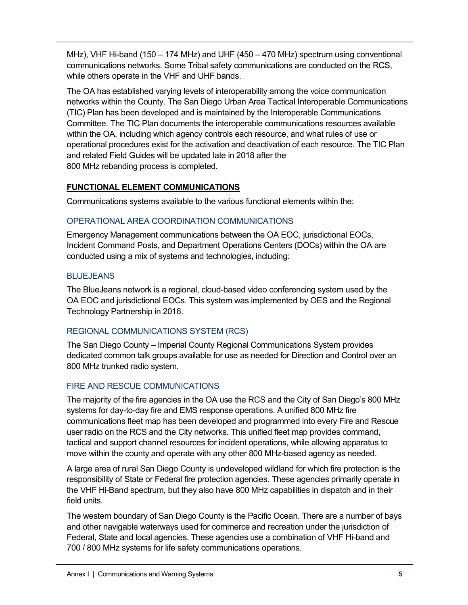MHz), VHF Hi-band (150 – 174 MHz) and UHF (450 – 470 MHz) spectrum using conventional communications networks. Some Tribal safety communications are conducted on the RCS, while others operate in the VHF and UHF bands.

The OA has established varying levels of interoperability among the voice communication networks within the County. The San Diego Urban Area Tactical Interoperable Communications (TIC) Plan has been developed and is maintained by the Interoperable Communications Committee. The TIC Plan documents the interoperable communications resources available within the OA, including which agency controls each resource, and what rules of use or operational procedures exist for the activation and deactivation of each resource. The TIC Plan and related Field Guides will be updated late in 2018 after the 800 MHz rebanding process is completed.

# **FUNCTIONAL ELEMENT COMMUNICATIONS**

Communications systems available to the various functional elements within the:

# OPERATIONAL AREA COORDINATION COMMUNICATIONS

Emergency Management communications between the OA EOC, jurisdictional EOCs, Incident Command Posts, and Department Operations Centers (DOCs) within the OA are conducted using a mix of systems and technologies, including:

# **BLUEJEANS**

The BlueJeans network is a regional, cloud-based video conferencing system used by the OA EOC and jurisdictional EOCs. This system was implemented by OES and the Regional Technology Partnership in 2016.

# REGIONAL COMMUNICATIONS SYSTEM (RCS)

The San Diego County – Imperial County Regional Communications System provides dedicated common talk groups available for use as needed for Direction and Control over an 800 MHz trunked radio system.

# FIRE AND RESCUE COMMUNICATIONS

The majority of the fire agencies in the OA use the RCS and the City of San Diego's 800 MHz systems for day-to-day fire and EMS response operations. A unified 800 MHz fire communications fleet map has been developed and programmed into every Fire and Rescue user radio on the RCS and the City networks. This unified fleet map provides command, tactical and support channel resources for incident operations, while allowing apparatus to move within the county and operate with any other 800 MHz-based agency as needed.

A large area of rural San Diego County is undeveloped wildland for which fire protection is the responsibility of State or Federal fire protection agencies. These agencies primarily operate in the VHF Hi-Band spectrum, but they also have 800 MHz capabilities in dispatch and in their field units.

The western boundary of San Diego County is the Pacific Ocean. There are a number of bays and other navigable waterways used for commerce and recreation under the jurisdiction of Federal, State and local agencies. These agencies use a combination of VHF Hi-band and 700 / 800 MHz systems for life safety communications operations.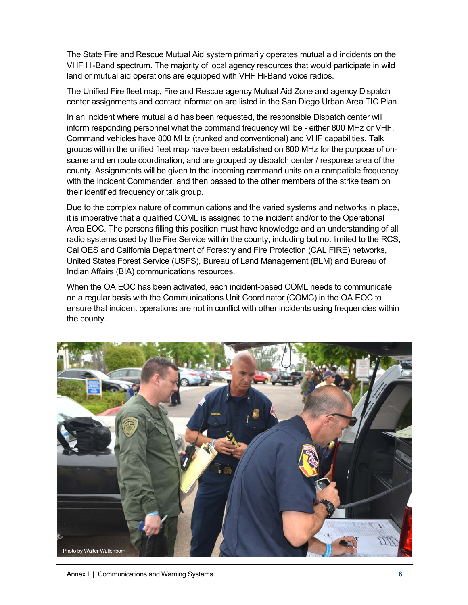The State Fire and Rescue Mutual Aid system primarily operates mutual aid incidents on the VHF Hi-Band spectrum. The majority of local agency resources that would participate in wild land or mutual aid operations are equipped with VHF Hi-Band voice radios.

The Unified Fire fleet map, Fire and Rescue agency Mutual Aid Zone and agency Dispatch center assignments and contact information are listed in the San Diego Urban Area TIC Plan.

In an incident where mutual aid has been requested, the responsible Dispatch center will inform responding personnel what the command frequency will be - either 800 MHz or VHF. Command vehicles have 800 MHz (trunked and conventional) and VHF capabilities. Talk groups within the unified fleet map have been established on 800 MHz for the purpose of onscene and en route coordination, and are grouped by dispatch center / response area of the county. Assignments will be given to the incoming command units on a compatible frequency with the Incident Commander, and then passed to the other members of the strike team on their identified frequency or talk group.

Due to the complex nature of communications and the varied systems and networks in place, it is imperative that a qualified COML is assigned to the incident and/or to the Operational Area EOC. The persons filling this position must have knowledge and an understanding of all radio systems used by the Fire Service within the county, including but not limited to the RCS, Cal OES and California Department of Forestry and Fire Protection (CAL FIRE) networks, United States Forest Service (USFS), Bureau of Land Management (BLM) and Bureau of Indian Affairs (BIA) communications resources.

When the OA EOC has been activated, each incident-based COML needs to communicate on a regular basis with the Communications Unit Coordinator (COMC) in the OA EOC to ensure that incident operations are not in conflict with other incidents using frequencies within the county.



Annex I | Communications and Warning Systems **6**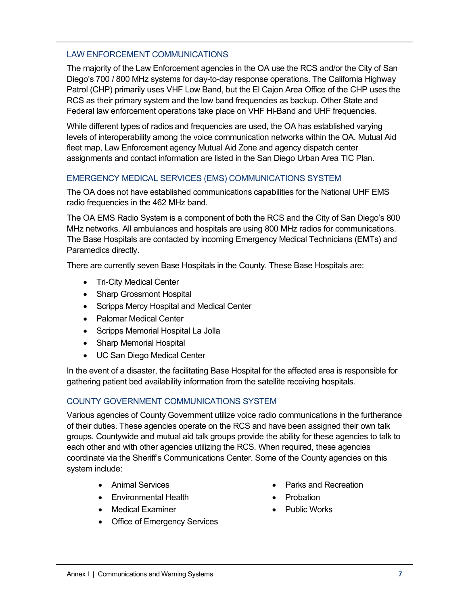## LAW ENFORCEMENT COMMUNICATIONS

The majority of the Law Enforcement agencies in the OA use the RCS and/or the City of San Diego's 700 / 800 MHz systems for day-to-day response operations. The California Highway Patrol (CHP) primarily uses VHF Low Band, but the El Cajon Area Office of the CHP uses the RCS as their primary system and the low band frequencies as backup. Other State and Federal law enforcement operations take place on VHF Hi-Band and UHF frequencies.

While different types of radios and frequencies are used, the OA has established varying levels of interoperability among the voice communication networks within the OA. Mutual Aid fleet map, Law Enforcement agency Mutual Aid Zone and agency dispatch center assignments and contact information are listed in the San Diego Urban Area TIC Plan.

## EMERGENCY MEDICAL SERVICES (EMS) COMMUNICATIONS SYSTEM

The OA does not have established communications capabilities for the National UHF EMS radio frequencies in the 462 MHz band.

The OA EMS Radio System is a component of both the RCS and the City of San Diego's 800 MHz networks. All ambulances and hospitals are using 800 MHz radios for communications. The Base Hospitals are contacted by incoming Emergency Medical Technicians (EMTs) and Paramedics directly.

There are currently seven Base Hospitals in the County. These Base Hospitals are:

- Tri-City Medical Center
- Sharp Grossmont Hospital
- Scripps Mercy Hospital and Medical Center
- Palomar Medical Center
- Scripps Memorial Hospital La Jolla
- Sharp Memorial Hospital
- UC San Diego Medical Center

In the event of a disaster, the facilitating Base Hospital for the affected area is responsible for gathering patient bed availability information from the satellite receiving hospitals.

# COUNTY GOVERNMENT COMMUNICATIONS SYSTEM

Various agencies of County Government utilize voice radio communications in the furtherance of their duties. These agencies operate on the RCS and have been assigned their own talk groups. Countywide and mutual aid talk groups provide the ability for these agencies to talk to each other and with other agencies utilizing the RCS. When required, these agencies coordinate via the Sheriff's Communications Center. Some of the County agencies on this system include:

- Animal Services
- Environmental Health
- Medical Examiner
- Office of Emergency Services
- Parks and Recreation
- Probation
- Public Works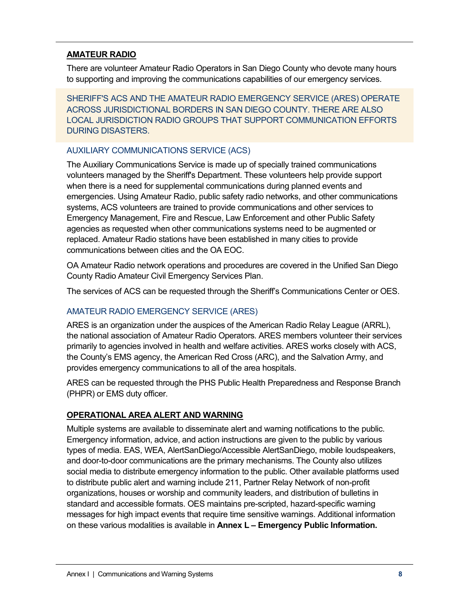# **AMATEUR RADIO**

There are volunteer Amateur Radio Operators in San Diego County who devote many hours to supporting and improving the communications capabilities of our emergency services.

SHERIFF'S ACS AND THE AMATEUR RADIO EMERGENCY SERVICE (ARES) OPERATE ACROSS JURISDICTIONAL BORDERS IN SAN DIEGO COUNTY. THERE ARE ALSO LOCAL JURISDICTION RADIO GROUPS THAT SUPPORT COMMUNICATION EFFORTS DURING DISASTERS.

# AUXILIARY COMMUNICATIONS SERVICE (ACS)

The Auxiliary Communications Service is made up of specially trained communications volunteers managed by the Sheriff's Department. These volunteers help provide support when there is a need for supplemental communications during planned events and emergencies. Using Amateur Radio, public safety radio networks, and other communications systems, ACS volunteers are trained to provide communications and other services to Emergency Management, Fire and Rescue, Law Enforcement and other Public Safety agencies as requested when other communications systems need to be augmented or replaced. Amateur Radio stations have been established in many cities to provide communications between cities and the OA EOC.

OA Amateur Radio network operations and procedures are covered in the Unified San Diego County Radio Amateur Civil Emergency Services Plan.

The services of ACS can be requested through the Sheriff's Communications Center or OES.

# AMATEUR RADIO EMERGENCY SERVICE (ARES)

ARES is an organization under the auspices of the American Radio Relay League (ARRL), the national association of Amateur Radio Operators. ARES members volunteer their services primarily to agencies involved in health and welfare activities. ARES works closely with ACS, the County's EMS agency, the American Red Cross (ARC), and the Salvation Army, and provides emergency communications to all of the area hospitals.

ARES can be requested through the PHS Public Health Preparedness and Response Branch (PHPR) or EMS duty officer.

# **OPERATIONAL AREA ALERT AND WARNING**

Multiple systems are available to disseminate alert and warning notifications to the public. Emergency information, advice, and action instructions are given to the public by various types of media. EAS, WEA, AlertSanDiego/Accessible AlertSanDiego, mobile loudspeakers, and door-to-door communications are the primary mechanisms. The County also utilizes social media to distribute emergency information to the public. Other available platforms used to distribute public alert and warning include 211, Partner Relay Network of non-profit organizations, houses or worship and community leaders, and distribution of bulletins in standard and accessible formats. OES maintains pre-scripted, hazard-specific warning messages for high impact events that require time sensitive warnings. Additional information on these various modalities is available in **Annex L – Emergency Public Information.**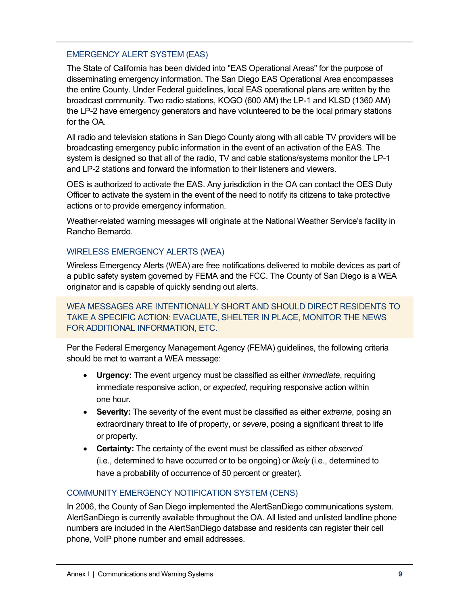# EMERGENCY ALERT SYSTEM (EAS)

The State of California has been divided into "EAS Operational Areas" for the purpose of disseminating emergency information. The San Diego EAS Operational Area encompasses the entire County. Under Federal guidelines, local EAS operational plans are written by the broadcast community. Two radio stations, KOGO (600 AM) the LP-1 and KLSD (1360 AM) the LP-2 have emergency generators and have volunteered to be the local primary stations for the OA.

All radio and television stations in San Diego County along with all cable TV providers will be broadcasting emergency public information in the event of an activation of the EAS. The system is designed so that all of the radio, TV and cable stations/systems monitor the LP-1 and LP-2 stations and forward the information to their listeners and viewers.

OES is authorized to activate the EAS. Any jurisdiction in the OA can contact the OES Duty Officer to activate the system in the event of the need to notify its citizens to take protective actions or to provide emergency information.

Weather-related warning messages will originate at the National Weather Service's facility in Rancho Bernardo.

# WIRELESS EMERGENCY ALERTS (WEA)

Wireless Emergency Alerts (WEA) are free notifications delivered to mobile devices as part of a public safety system governed by FEMA and the FCC. The County of San Diego is a WEA originator and is capable of quickly sending out alerts.

WEA MESSAGES ARE INTENTIONALLY SHORT AND SHOULD DIRECT RESIDENTS TO TAKE A SPECIFIC ACTION: EVACUATE, SHELTER IN PLACE, MONITOR THE NEWS FOR ADDITIONAL INFORMATION, ETC.

Per the Federal Emergency Management Agency (FEMA) guidelines, the following criteria should be met to warrant a WEA message:

- **Urgency:** The event urgency must be classified as either *immediate*, requiring immediate responsive action, or *expected*, requiring responsive action within one hour.
- **Severity:** The severity of the event must be classified as either *extreme*, posing an extraordinary threat to life of property, or *severe*, posing a significant threat to life or property.
- **Certainty:** The certainty of the event must be classified as either *observed*  (i.e., determined to have occurred or to be ongoing) or *likely* (i.e., determined to have a probability of occurrence of 50 percent or greater).

# COMMUNITY EMERGENCY NOTIFICATION SYSTEM (CENS)

In 2006, the County of San Diego implemented the AlertSanDiego communications system. AlertSanDiego is currently available throughout the OA. All listed and unlisted landline phone numbers are included in the AlertSanDiego database and residents can register their cell phone, VoIP phone number and email addresses.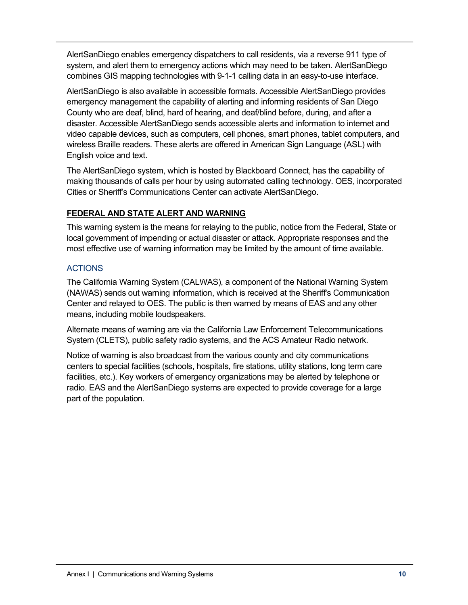AlertSanDiego enables emergency dispatchers to call residents, via a reverse 911 type of system, and alert them to emergency actions which may need to be taken. AlertSanDiego combines GIS mapping technologies with 9-1-1 calling data in an easy-to-use interface.

AlertSanDiego is also available in accessible formats. Accessible AlertSanDiego provides emergency management the capability of alerting and informing residents of San Diego County who are deaf, blind, hard of hearing, and deaf/blind before, during, and after a disaster. Accessible AlertSanDiego sends accessible alerts and information to internet and video capable devices, such as computers, cell phones, smart phones, tablet computers, and wireless Braille readers. These alerts are offered in American Sign Language (ASL) with English voice and text.

The AlertSanDiego system, which is hosted by Blackboard Connect, has the capability of making thousands of calls per hour by using automated calling technology. OES, incorporated Cities or Sheriff's Communications Center can activate AlertSanDiego.

# **FEDERAL AND STATE ALERT AND WARNING**

This warning system is the means for relaying to the public, notice from the Federal, State or local government of impending or actual disaster or attack. Appropriate responses and the most effective use of warning information may be limited by the amount of time available.

# **ACTIONS**

The California Warning System (CALWAS), a component of the National Warning System (NAWAS) sends out warning information, which is received at the Sheriff's Communication Center and relayed to OES. The public is then warned by means of EAS and any other means, including mobile loudspeakers.

Alternate means of warning are via the California Law Enforcement Telecommunications System (CLETS), public safety radio systems, and the ACS Amateur Radio network.

Notice of warning is also broadcast from the various county and city communications centers to special facilities (schools, hospitals, fire stations, utility stations, long term care facilities, etc.). Key workers of emergency organizations may be alerted by telephone or radio. EAS and the AlertSanDiego systems are expected to provide coverage for a large part of the population.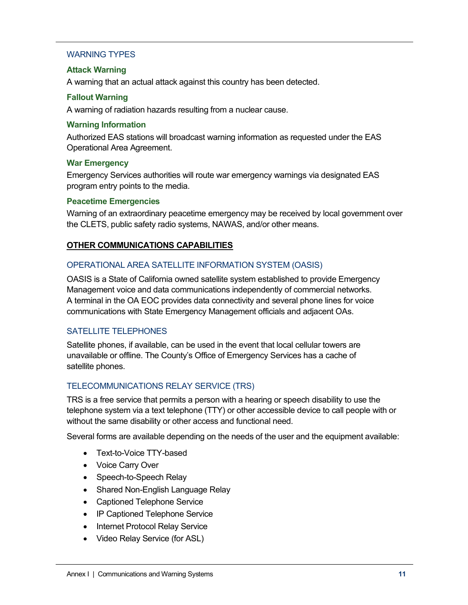## WARNING TYPES

#### **Attack Warning**

A warning that an actual attack against this country has been detected.

#### **Fallout Warning**

A warning of radiation hazards resulting from a nuclear cause.

#### **Warning Information**

Authorized EAS stations will broadcast warning information as requested under the EAS Operational Area Agreement.

#### **War Emergency**

Emergency Services authorities will route war emergency warnings via designated EAS program entry points to the media.

#### **Peacetime Emergencies**

Warning of an extraordinary peacetime emergency may be received by local government over the CLETS, public safety radio systems, NAWAS, and/or other means.

## **OTHER COMMUNICATIONS CAPABILITIES**

## OPERATIONAL AREA SATELLITE INFORMATION SYSTEM (OASIS)

OASIS is a State of California owned satellite system established to provide Emergency Management voice and data communications independently of commercial networks. A terminal in the OA EOC provides data connectivity and several phone lines for voice communications with State Emergency Management officials and adjacent OAs.

## SATELLITE TELEPHONES

Satellite phones, if available, can be used in the event that local cellular towers are unavailable or offline. The County's Office of Emergency Services has a cache of satellite phones.

# TELECOMMUNICATIONS RELAY SERVICE (TRS)

TRS is a free service that permits a person with a hearing or speech disability to use the telephone system via a text telephone (TTY) or other accessible device to call people with or without the same disability or other access and functional need.

Several forms are available depending on the needs of the user and the equipment available:

- Text-to-Voice TTY-based
- Voice Carry Over
- Speech-to-Speech Relay
- Shared Non-English Language Relay
- Captioned Telephone Service
- IP Captioned Telephone Service
- Internet Protocol Relay Service
- Video Relay Service (for ASL)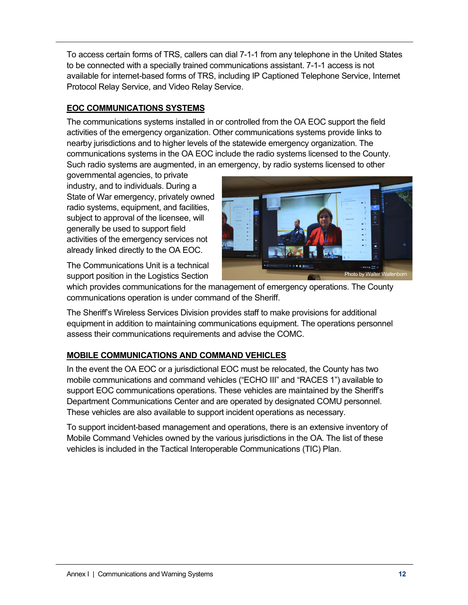To access certain forms of TRS, callers can dial 7-1-1 from any telephone in the United States to be connected with a specially trained communications assistant. 7-1-1 access is not available for internet-based forms of TRS, including IP Captioned Telephone Service, Internet Protocol Relay Service, and Video Relay Service.

# **EOC COMMUNICATIONS SYSTEMS**

The communications systems installed in or controlled from the OA EOC support the field activities of the emergency organization. Other communications systems provide links to nearby jurisdictions and to higher levels of the statewide emergency organization. The communications systems in the OA EOC include the radio systems licensed to the County. Such radio systems are augmented, in an emergency, by radio systems licensed to other

governmental agencies, to private industry, and to individuals. During a State of War emergency, privately owned radio systems, equipment, and facilities, subject to approval of the licensee, will generally be used to support field activities of the emergency services not already linked directly to the OA EOC.

The Communications Unit is a technical support position in the Logistics Section



which provides communications for the management of emergency operations. The County communications operation is under command of the Sheriff.

The Sheriff's Wireless Services Division provides staff to make provisions for additional equipment in addition to maintaining communications equipment. The operations personnel assess their communications requirements and advise the COMC.

# **MOBILE COMMUNICATIONS AND COMMAND VEHICLES**

In the event the OA EOC or a jurisdictional EOC must be relocated, the County has two mobile communications and command vehicles ("ECHO III" and "RACES 1") available to support EOC communications operations. These vehicles are maintained by the Sheriff's Department Communications Center and are operated by designated COMU personnel. These vehicles are also available to support incident operations as necessary.

To support incident-based management and operations, there is an extensive inventory of Mobile Command Vehicles owned by the various jurisdictions in the OA. The list of these vehicles is included in the Tactical Interoperable Communications (TIC) Plan.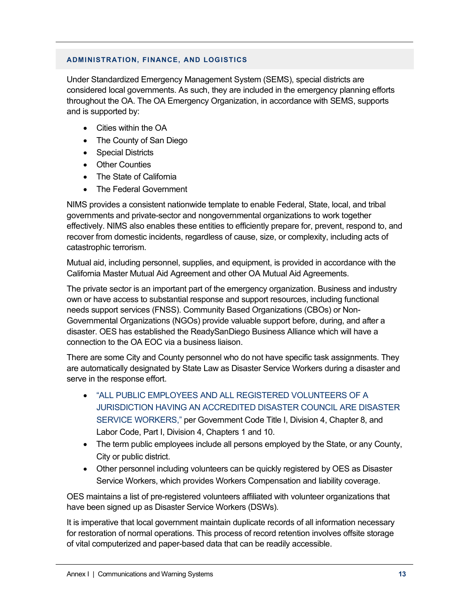#### **ADMINISTRATION, FINANCE, AND LOGISTICS**

Under Standardized Emergency Management System (SEMS), special districts are considered local governments. As such, they are included in the emergency planning efforts throughout the OA. The OA Emergency Organization, in accordance with SEMS, supports and is supported by:

- Cities within the OA
- The County of San Diego
- Special Districts
- Other Counties
- The State of California
- The Federal Government

NIMS provides a consistent nationwide template to enable Federal, State, local, and tribal governments and private-sector and nongovernmental organizations to work together effectively. NIMS also enables these entities to efficiently prepare for, prevent, respond to, and recover from domestic incidents, regardless of cause, size, or complexity, including acts of catastrophic terrorism.

Mutual aid, including personnel, supplies, and equipment, is provided in accordance with the California Master Mutual Aid Agreement and other OA Mutual Aid Agreements.

The private sector is an important part of the emergency organization. Business and industry own or have access to substantial response and support resources, including functional needs support services (FNSS). Community Based Organizations (CBOs) or Non-Governmental Organizations (NGOs) provide valuable support before, during, and after a disaster. OES has established the ReadySanDiego Business Alliance which will have a connection to the OA EOC via a business liaison.

There are some City and County personnel who do not have specific task assignments. They are automatically designated by State Law as Disaster Service Workers during a disaster and serve in the response effort.

- "ALL PUBLIC EMPLOYEES AND ALL REGISTERED VOLUNTEERS OF A JURISDICTION HAVING AN ACCREDITED DISASTER COUNCIL ARE DISASTER SERVICE WORKERS," per Government Code Title I, Division 4, Chapter 8, and Labor Code, Part I, Division 4, Chapters 1 and 10.
- The term public employees include all persons employed by the State, or any County, City or public district.
- Other personnel including volunteers can be quickly registered by OES as Disaster Service Workers, which provides Workers Compensation and liability coverage.

OES maintains a list of pre-registered volunteers affiliated with volunteer organizations that have been signed up as Disaster Service Workers (DSWs).

It is imperative that local government maintain duplicate records of all information necessary for restoration of normal operations. This process of record retention involves offsite storage of vital computerized and paper-based data that can be readily accessible.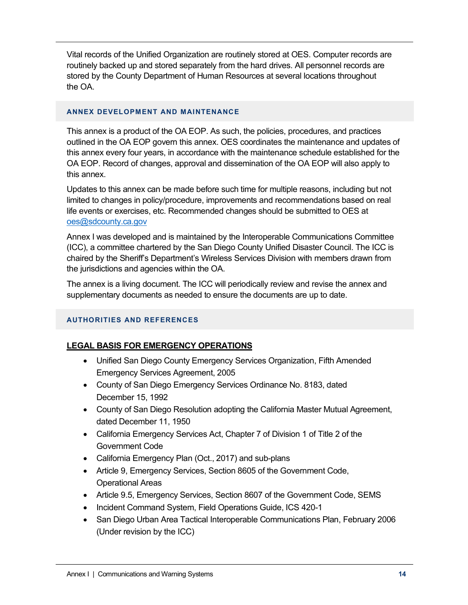Vital records of the Unified Organization are routinely stored at OES. Computer records are routinely backed up and stored separately from the hard drives. All personnel records are stored by the County Department of Human Resources at several locations throughout the OA.

#### **ANNEX DEVELOPMENT AND MAINTENANCE**

This annex is a product of the OA EOP. As such, the policies, procedures, and practices outlined in the OA EOP govern this annex. OES coordinates the maintenance and updates of this annex every four years, in accordance with the maintenance schedule established for the OA EOP. Record of changes, approval and dissemination of the OA EOP will also apply to this annex.

Updates to this annex can be made before such time for multiple reasons, including but not limited to changes in policy/procedure, improvements and recommendations based on real life events or exercises, etc. Recommended changes should be submitted to OES at oes@sdcounty.ca.gov

Annex I was developed and is maintained by the Interoperable Communications Committee (ICC), a committee chartered by the San Diego County Unified Disaster Council. The ICC is chaired by the Sheriff's Department's Wireless Services Division with members drawn from the jurisdictions and agencies within the OA.

The annex is a living document. The ICC will periodically review and revise the annex and supplementary documents as needed to ensure the documents are up to date.

## **AUTHORITIES AND REFERENCES**

# **LEGAL BASIS FOR EMERGENCY OPERATIONS**

- Unified San Diego County Emergency Services Organization, Fifth Amended Emergency Services Agreement, 2005
- County of San Diego Emergency Services Ordinance No. 8183, dated December 15, 1992
- County of San Diego Resolution adopting the California Master Mutual Agreement, dated December 11, 1950
- California Emergency Services Act, Chapter 7 of Division 1 of Title 2 of the Government Code
- California Emergency Plan (Oct., 2017) and sub-plans
- Article 9, Emergency Services, Section 8605 of the Government Code, Operational Areas
- Article 9.5, Emergency Services, Section 8607 of the Government Code, SEMS
- Incident Command System, Field Operations Guide, ICS 420-1
- San Diego Urban Area Tactical Interoperable Communications Plan, February 2006 (Under revision by the ICC)